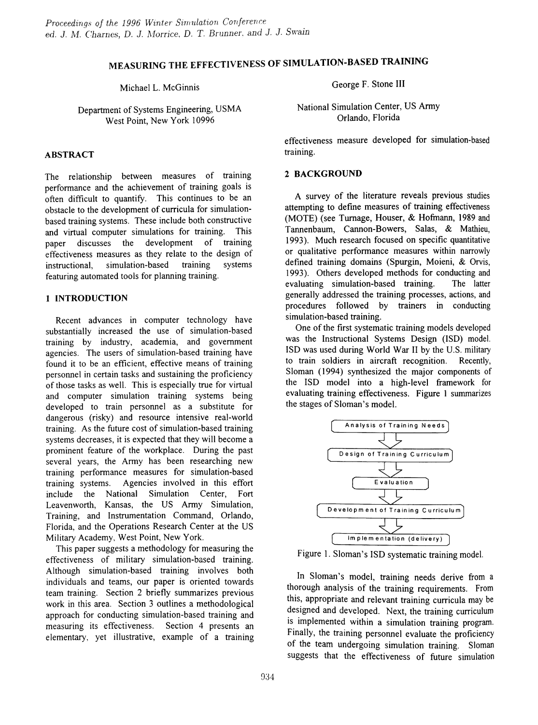# MEASURING THE EFFECTIVENESS OF SIMULATION-BASED TRAINING

Michael L. McGinnis

Department of Systems Engineering, USMA West Point, New York 10996

## ABSTRACT

The relationship between measures of training performance and the achievement of training goals is often difficult to quantify. This continues to be an obstacle to the development of curricula for simulationbased training systems. These include both constructive and virtual computer simulations for training. This paper discusses the development of training effectiveness measures as they relate to the design of instructional, simulation-based training systems featuring automated tools for planning training.

#### 1 INTRODUCTION

Recent advances in computer technology have substantially increased the use of simulation-based training by industry, academia, and government agencies. The users of simulation-based training have found it to be an efficient, effective means of training personnel in certain tasks and sustaining the proficiency of those tasks as well. This is especially true for virtual and computer simulation training systems being developed to train personnel as a substitute for dangerous (risky) and resource intensive real-world training. As the future cost of simulation-based training systems decreases, it is expected that they will become a prominent feature of the workplace. During the past several years, the Army has been researching new training performance measures for simulation-based training systems. Agencies involved in this effort include the National Simulation Center, Fort Leavenworth, Kansas, the US Army Simulation, Training, and Instrumentation Command, Orlando, Florida, and the Operations Research Center at the US Military Academy, West Point, New York.

This paper suggests a methodology for measuring the effectiveness of military simulation-based training. Although simulation-based training involves both individuals and teams, our paper is oriented towards team training. Section 2 briefly summarizes previous work in this area. Section 3 outlines a methodological approach for conducting simulation-based training and measuring its effectiveness. Section 4 presents an elementary, yet illustrative, example of a training George F. Stone III

National Simulation Center, US Army Orlando, Florida

effectiveness measure developed for simulation-based training.

## 2 BACKGROUND

A survey of the literature reveals previous studies attempting to defme measures of training effectiveness (MOTE) (see Turnage, Houser, & Hofmann, 1989 and Tannenbaum, Cannon-Bowers, Salas, & Mathieu, 1993). Much research focused on specific quantitative or qualitative performance measures within narrowly defined training domains (Spurgin, Moieni, & Orvis, 1993). Others developed methods for conducting and evaluating simulation-based training. The latter evaluating simulation-based training. generally addressed the training processes, actions, and procedures followed by trainers in conducting simulation-based training.

One of the first systematic training models developed was the Instructional Systems Design (ISO) model. ISO was used during World War II by the U.S. military to train soldiers in aircraft recognition. Recently, Sloman (1994) synthesized the major components of the ISD model into a high-level framework for evaluating training effectiveness. Figure 1 summarizes the stages of Sloman's model.



Figure 1. Sloman's ISD systematic training model.

In Sloman's model, training needs derive from a thorough analysis of the training requirements. From this, appropriate and relevant training curricula may be designed and developed. Next, the training curriculum is implemented within a simulation training program. Finally, the training personnel evaluate the proficiency of the team undergoing simulation training. Sloman suggests that the effectiveness of future simulation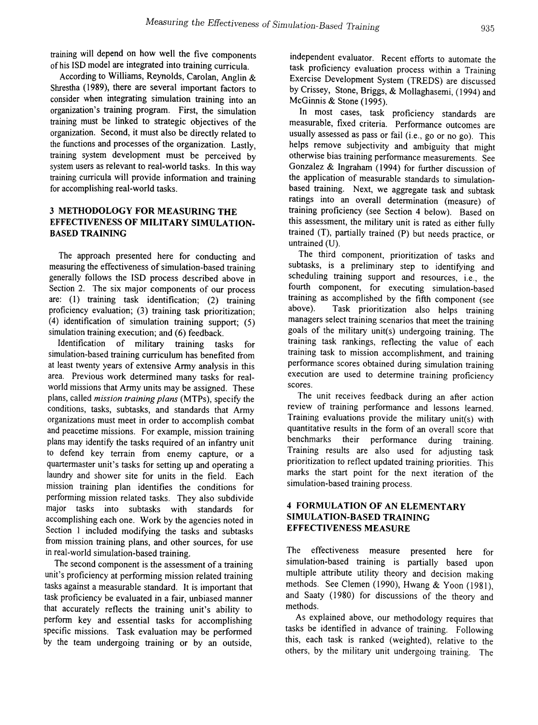training will depend on how well the five components of his ISO model are integrated into training curricula.

According to Williams, Reynolds, Carolan, Anglin & Shrestha (1989), there are several important factors to consider when integrating simulation training into an organization's training program. First, the simulation training must be linked to strategic objectives of the organization. Second, it must also be directly related to the functions and processes of the organization. Lastly, training system development must be perceived by system users as relevant to real-world tasks. In this way training curricula will provide information and training for accomplishing real-world tasks.

## 3 METHODOLOGY FOR MEASURING THE EFFECTIVENESS OF MILITARY SIMULATION-BASED TRAINING

The approach presented here for conducting and measuring the effectiveness of simulation-based training generally follows the ISO process described above in Section 2. The six major components of our process are: (1) training task identification; (2) training proficiency evaluation; (3) training task prioritization; (4) identification of simulation training support; (5) simulation training execution; and (6) feedback.<br>Identification of military training tasks for

Identification of military simulation-based training curriculum has benefited from at least twenty years of extensive Anny analysis in this area. Previous work determined many tasks for realworld missions that Army units may be assigned. These plans, called *mission training plans* (MTPs), specify the conditions, tasks, subtasks, and standards that Army organizations must meet in order to accomplish combat and peacetime missions. For example, mission training plans may identify the tasks required of an infantry unit to defend key terrain from enemy capture, or a quartermaster unit's tasks for setting up and operating a laundry and shower site for units in the field. Each mission training plan identifies the conditions for performing mission related tasks. They also subdivide major tasks into subtasks with standards for accomplishing each one. Work by the agencies noted in Section 1 included modifying the tasks and subtasks from mission training plans, and other sources, for use in real-world simulation-based training.

The second component is the assessment of a training unit's proficiency at performing mission related training tasks against a measurable standard. It is important that task proficiency be evaluated in a fair, unbiased manner that accurately reflects the training unit's ability to perform key and essential tasks for accomplishing specific missions. Task evaluation may be performed by the team undergoing training or by an outside,

independent evaluator. Recent efforts to automate the task proficiency evaluation process within a Training Exercise Development System (TREDS) are discussed by Crissey, Stone, Briggs, & Mollaghasemi, (1994) and McGinnis & Stone (1995).

In most cases, task proficiency standards are measurable, fixed criteria. Performance outcomes are usually assessed as pass or fail (i.e., go or no go). This helps remove subjectivity and ambiguity that might otherwise bias training performance measurements. See Gonzalez & Ingraham (1994) for further discussion of the application of measurable standards to simulationbased training. Next, we aggregate task and subtask ratings into an overall determination (measure) of training proficiency (see Section 4 below). Based on this assessment, the military unit is rated as either fully trained (T), partially trained (P) but needs practice, or untrained (U).

The third component, prioritization of tasks and subtasks, is a preliminary step to identifying and scheduling training support and resources, i.e., the fourth component, for executing simulation-based training as accomplished by the fifth component (see above). Task prioritization also helps training managers select training scenarios that meet the training goals of the military unit(s) undergoing training. The training task rankings, reflecting the value of each training task to mission accomplishment, and training performance scores obtained during simulation training execution are used to determine training proficiency scores.

The unit receives feedback during an after action review of training performance and lessons learned. Training evaluations provide the military unit(s) with quantitative results in the form of an overall score that benchmarks their performance during training. Training results are also used for adjusting task prioritization to reflect updated training priorities. This marks the start point for the next iteration of the simulation-based training process.

## 4 FORMULATION OF AN ELEMENTARY SIMULATION-BASED TRAINING EFFECTIVENESS MEASURE

The effectiveness measure presented here for simulation-based training is partially based upon multiple attribute utility theory and decision making methods. See Clemen (1990), Hwang & Yoon (1981), and Saaty (1980) for discussions of the theory and methods.

As explained above, our methodology requires that tasks be identified in advance of training. Following this, each task is ranked (weighted), relative to the others, by the military unit undergoing training. The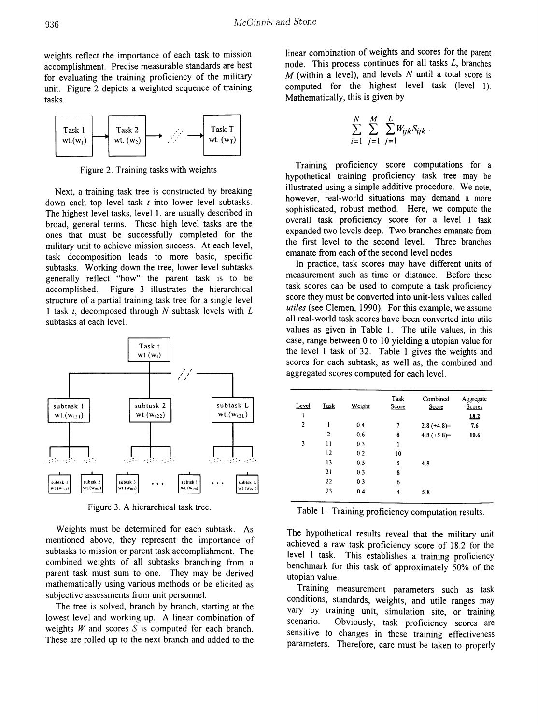weights reflect the importance of each task to mission accomplishment. Precise measurable standards are best for evaluating the training proficiency of the military unit. Figure 2 depicts a weighted sequence of training tasks.



Figure 2. Training tasks with weights

Next, a training task tree is constructed by breaking down each top level task *t* into lower level subtasks. The highest level tasks, level 1, are usually described in broad, general terms. These high level tasks are the ones that must be successfully completed for the military unit to achieve mission success. At each level, task decomposition leads to more basic, specific subtasks. Working down the tree, lower level subtasks generally reflect "how" the parent task is to be accomplished. Figure 3 illustrates the hierarchical structure of a partial training task tree for a single level 1 task *t,* decomposed through N subtask levels with L subtasks at each level.



Figure 3. A hierarchical task tree.

Weights must be determined for each subtask. As mentioned above, they represent the importance of subtasks to mission or parent task accomplishment. The combined weights of all subtasks branching from a parent task must sum to one. They may be derived mathematically using various methods or be elicited as subjective assessments from unit personnel.

The tree is solved, branch by branch, starting at the lowest level and working up. A linear combination of weights  $W$  and scores  $S$  is computed for each branch. These are rolled up to the next branch and added to the linear combination of weights and scores for the parent node. This process continues for all tasks  $L$ , branches M (within a level), and levels N until a total score is computed for the highest level task (level 1). Mathematically, this is given by

$$
\sum_{i=1}^N \sum_{j=1}^M \sum_{j=1}^L W_{ijk} S_{ijk}.
$$

Training proficiency score computations for a hypothetical training proficiency task tree may be illustrated using a simple additive procedure. We note, however, real-world situations may demand a more sophisticated, robust method. Here, we compute the overall task proficiency score for a level 1 task expanded two levels deep. Two branches emanate from the first level to the second level. Three branches emanate from each of the second level nodes.

In practice, task scores may have different units of measurement such as time or distance. Before these task scores can be used to compute a task proficiency score they must be converted into unit-less values called *utiles* (see Clemen, 1990). For this example, we assume all real-world task scores have been converted into utile values as given in Table 1. The utile values, in this case, range between 0 to 10 yielding a utopian value for the level 1 task of 32. Table 1 gives the weights and scores for each subtask, as well as, the combined and aggregated scores computed for each level.

| Task           | Weight | Task<br>Score | Combined<br>Score | Aggregate<br>Scores |
|----------------|--------|---------------|-------------------|---------------------|
|                |        |               |                   | <u>18.2</u>         |
| ı              | 0.4    | 7             | $2.8 (+4.8) =$    | 7.6                 |
| $\overline{c}$ | 0.6    | 8             | $4.8 (+5.8) =$    | 10.6                |
| 11             | 0.3    | 1             |                   |                     |
| 12             | 0.2    | 10            |                   |                     |
| 13             | 0.5    | 5             | 4.8               |                     |
| 21             | 0.3    | 8             |                   |                     |
| 22             | 0.3    | 6             |                   |                     |
| 23             | 0.4    | 4             | 5.8               |                     |
|                |        |               |                   |                     |

Table 1. Training proficiency computation results.

The hypothetical results reveal that the military unit achieved a raw task proficiency score of 18.2 for the level 1 task. This establishes a training proficiency benchmark for this task of approximately 50% of the utopian value.

Training measurement parameters such as task conditions, standards, weights, and utile ranges may vary by training unit, simulation site, or training scenario. Obviously, task proficiency scores are sensitive to changes in these training effectiveness parameters. Therefore, care must be taken to properly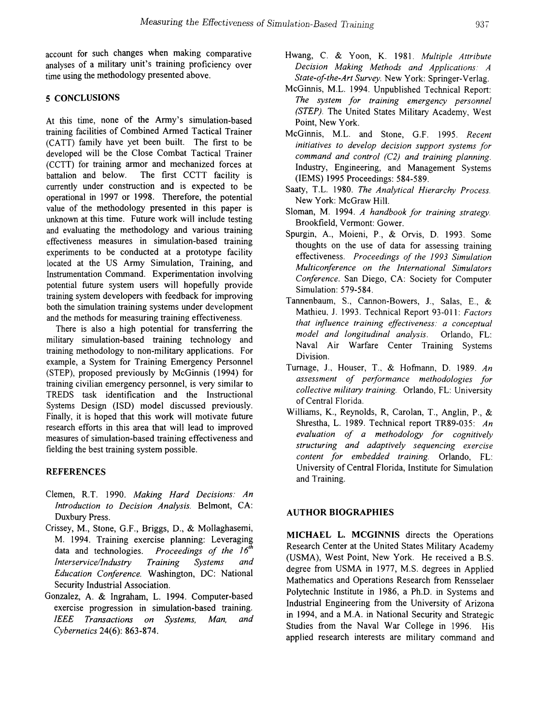account for such changes when making comparative analyses of a military unit's training proficiency over time using the methodology presented above.

## 5 CONCLUSIONS

At this time, none of the Army's simulation-based training facilities of Combined Armed Tactical Trainer (CATT) family have yet been built. The first to be. developed will be the Close Combat Tactical Trainer  $(CCTT)$  for training armor and mechanized forces at battalion and below. The first CCTT facility is currently under construction and is expected to be operational in 1997 or 1998. Therefore, the potential value of the methodology presented in this paper is unknown at this time. Future work will include testing and evaluating the methodology and various training effectiveness measures in simulation-based training experiments to be conducted at a prototype facility located at the US Army Simulation, Training, and Instrumentation Command. Experimentation involving potential future system users will hopefully provide training system developers with feedback for improving both the simulation training systems under development and the methods for measuring training effectiveness.

There is also a high potential for transferring the military simulation-based training technology and training methodology to non-military applications. For example, a System for Training Emergency Personnel (STEP), proposed previously by McGinnis (1994) for training civilian emergency personnel, is very similar to TREDS task identification and the Instructional Systems Design (ISO) model discussed previously. Finally, it is hoped that this work will motivate future research efforts in this area that will lead to improved measures of simulation-based training effectiveness and fielding the best training system possible.

## REFERENCES

- Clemen, R.T. 1990. *Making Hard Decisions: An Introduction to Decision Analysis.* Belmont, CA: Duxbury Press. .
- Crissey, M., Stone, G.F., Briggs, D., & Mollaghasemi, M. 1994. Training exercise planning: Leveraging data and technologies. *Proceedings of the 16<sup>th</sup> Interservice/Industry Training Systems and Interservice/lndustry Training Systems and Education Conference.* Washington, DC: National Security Industrial Association.
- Gonzalez, A. & Ingraham, L. 1994. Computer-based exercise progression in simulation-based training. *IEEE Transactions on Systems, Man, and Cybernetics* 24(6): 863-874.
- Hwang, C. & Yoon, K. 1981. *Multiple Attribute Decision Making Methods and Applications: A State-of-the-Art Survey.* New York: Springer-Verlag.
- McGinnis, M.L. 1994. Unpublished Technical Report: *The system for training emergency personnel (STEP).* The United States Military Academy, West Point, New York.
- McGinnis, M.L. and Stone, G.F. 1995. *Recent initiatives to develop decision support systems for command and control (C2) and training planning.* Industry, Engineering, and Management Systems (IEMS) 1995 Proceedings: 584-589.
- Saaty, T.L. 1980. *The Analytical Hierarchy Process.* New York: McGraw Hill.
- Sloman, M. 1994. *A handbook for training strategy.* Brookfield, Vennont: Gower.
- Spurgin, A., Moieni, P., & Orvis, D. 1993. Some thoughts on the use of data for assessing training effectiveness. *Proceedings of the* 1993 *Simulation Multiconference on the International Simulators Conference.* San Diego, CA: Society for Computer Simulation: 579-584.
- Tannenbaum, S., Cannon-Bowers, J., Salas, E., & Mathieu~ 1. 1993. Technical Report 93-011: *Factors that influence training effectiveness: a conceptual model and longitudinal analysis.* Orlando, FL: Naval Air Warfare Center Training Systems Division.
- Turnage, 1., Houser, T., & Hofmann, D. 1989. *An assessment of performance methodologies for collective military training.* Orlando, FL: University ofCentral Florida.
- Williams, K., Reynolds, R, Carolan, T., Anglin, P., & Shrestha, L. 1989. Technical report TR89-035: *An evaluation of a methodology for cognitively structuring and adaptively sequencing exercise content for embedded training.* Orlando, FL: University of Central Florida, Institute for Simulation and Training.

#### AUTHOR BIOGRAPHIES

MICHAEL L. MCGINNIS directs the Operations Research Center at the United States Military Academy (USMA), West Point, New York. He received a B.S. degree from USMA in 1977, M.S. degrees in Applied Mathematics and Operations Research from Rensselaer Polytechnic Institute in 1986, a Ph.D. in Systems and Industrial Engineering from the University of Arizona in 1994, and a M.A. in National Security and Strategic Studies from the Naval War College in 1996. His applied research interests are military command and